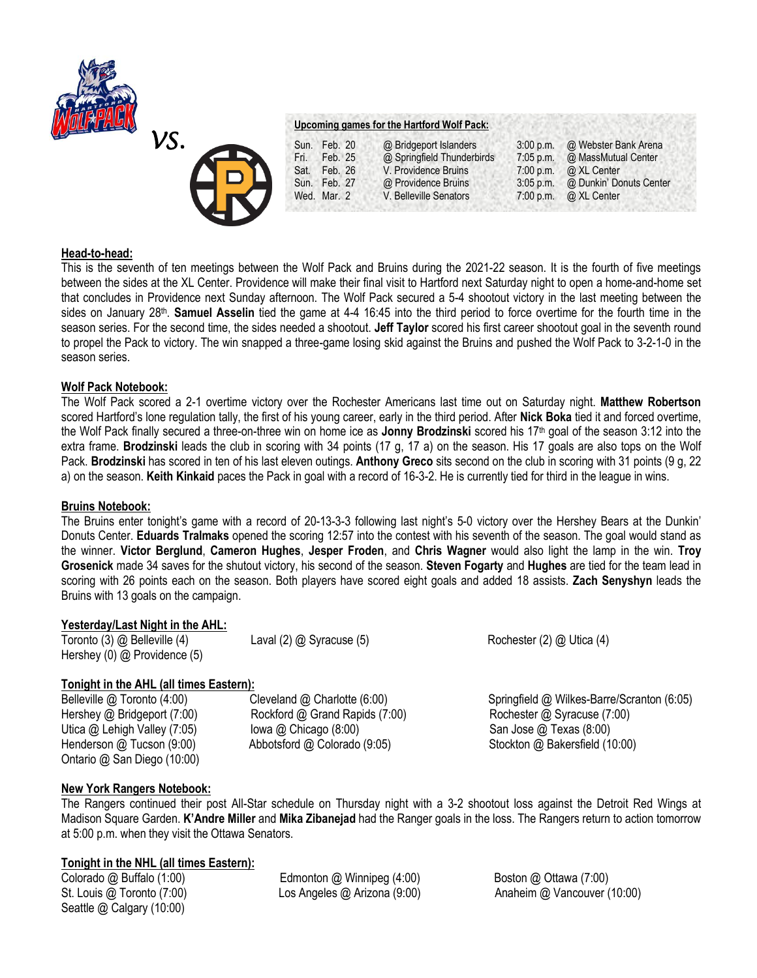



**Upcoming games for the Hartford Wolf Pack:**

Sat. Feb. 26 V. Providence Bruins 7:00 p.m. @ XL Center<br>Sun. Feb. 27 @ Providence Bruins 3:05 p.m. @ Dunkin' Do Wed. Mar. 2 V. Belleville Senators 7:00 p.m. @ XL Center

Sun. Feb. 20 @ Bridgeport Islanders 3:00 p.m. @ Webster Bank Arena<br>Fri. Feb. 25 @ Springfield Thunderbirds 7:05 p.m. @ MassMutual Center Fri. Feb. 25 @ Springfield Thunderbirds 7:05 p.m. @ MassMutual Center<br>Sat. Feb. 26 V. Providence Bruins 7:00 p.m. @ XL Center Sun. Feb. 27 @ Providence Bruins 3:05 p.m. @ Dunkin' Donuts Center

### **Head-to-head:**

This is the seventh of ten meetings between the Wolf Pack and Bruins during the 2021-22 season. It is the fourth of five meetings between the sides at the XL Center. Providence will make their final visit to Hartford next Saturday night to open a home-and-home set that concludes in Providence next Sunday afternoon. The Wolf Pack secured a 5-4 shootout victory in the last meeting between the sides on January 28<sup>th</sup>. **Samuel Asselin** tied the game at 4-4 16:45 into the third period to force overtime for the fourth time in the season series. For the second time, the sides needed a shootout. **Jeff Taylor** scored his first career shootout goal in the seventh round to propel the Pack to victory. The win snapped a three-game losing skid against the Bruins and pushed the Wolf Pack to 3-2-1-0 in the season series.

## **Wolf Pack Notebook:**

The Wolf Pack scored a 2-1 overtime victory over the Rochester Americans last time out on Saturday night. **Matthew Robertson**  scored Hartford's lone regulation tally, the first of his young career, early in the third period. After **Nick Boka** tied it and forced overtime, the Wolf Pack finally secured a three-on-three win on home ice as **Jonny Brodzinski** scored his 17th goal of the season 3:12 into the extra frame. **Brodzinski** leads the club in scoring with 34 points (17 g, 17 a) on the season. His 17 goals are also tops on the Wolf Pack. **Brodzinski** has scored in ten of his last eleven outings. **Anthony Greco** sits second on the club in scoring with 31 points (9 g, 22 a) on the season. **Keith Kinkaid** paces the Pack in goal with a record of 16-3-2. He is currently tied for third in the league in wins.

### **Bruins Notebook:**

The Bruins enter tonight's game with a record of 20-13-3-3 following last night's 5-0 victory over the Hershey Bears at the Dunkin' Donuts Center. **Eduards Tralmaks** opened the scoring 12:57 into the contest with his seventh of the season. The goal would stand as the winner. **Victor Berglund**, **Cameron Hughes**, **Jesper Froden**, and **Chris Wagner** would also light the lamp in the win. **Troy Grosenick** made 34 saves for the shutout victory, his second of the season. **Steven Fogarty** and **Hughes** are tied for the team lead in scoring with 26 points each on the season. Both players have scored eight goals and added 18 assists. **Zach Senyshyn** leads the Bruins with 13 goals on the campaign.

# **Yesterday/Last Night in the AHL:**

Toronto (3) @ Belleville (4) Laval (2) @ Syracuse (5) Rochester (2) @ Utica (4) Hershey (0) @ Providence (5)

# **Tonight in the AHL (all times Eastern):**

Ontario @ San Diego (10:00)

Hershey @ Bridgeport (7:00) Rockford @ Grand Rapids (7:00) Rochester @ Syracuse (7:00) Utica @ Lehigh Valley (7:05) Iowa @ Chicago (8:00) Income San Jose @ Texas (8:00)

Belleville @ Toronto (4:00) Cleveland @ Charlotte (6:00) Springfield @ Wilkes-Barre/Scranton (6:05) Henderson @ Tucson (9:00) Abbotsford @ Colorado (9:05) Stockton @ Bakersfield (10:00)

# **New York Rangers Notebook:**

The Rangers continued their post All-Star schedule on Thursday night with a 3-2 shootout loss against the Detroit Red Wings at Madison Square Garden. **K'Andre Miller** and **Mika Zibanejad** had the Ranger goals in the loss. The Rangers return to action tomorrow at 5:00 p.m. when they visit the Ottawa Senators.

### **Tonight in the NHL (all times Eastern):**

Seattle @ Calgary (10:00)

Colorado @ Buffalo (1:00) Edmonton @ Winnipeg (4:00) Boston @ Ottawa (7:00)

St. Louis @ Toronto (7:00) Los Angeles @ Arizona (9:00) Anaheim @ Vancouver (10:00)